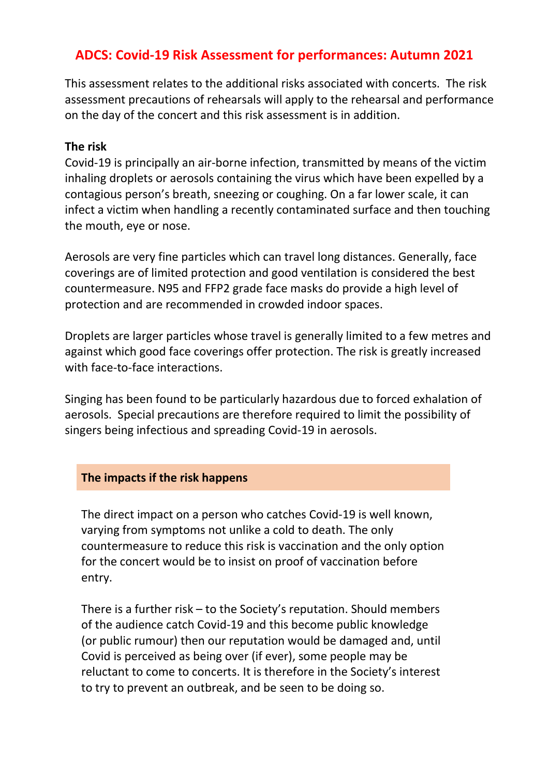## ADCS: Covid-19 Risk Assessment for performances: Autumn 2021

This assessment relates to the additional risks associated with concerts. The risk assessment precautions of rehearsals will apply to the rehearsal and performance on the day of the concert and this risk assessment is in addition.

## The risk

Covid-19 is principally an air-borne infection, transmitted by means of the victim inhaling droplets or aerosols containing the virus which have been expelled by a contagious person's breath, sneezing or coughing. On a far lower scale, it can infect a victim when handling a recently contaminated surface and then touching the mouth, eye or nose.

Aerosols are very fine particles which can travel long distances. Generally, face coverings are of limited protection and good ventilation is considered the best countermeasure. N95 and FFP2 grade face masks do provide a high level of protection and are recommended in crowded indoor spaces.

Droplets are larger particles whose travel is generally limited to a few metres and against which good face coverings offer protection. The risk is greatly increased with face-to-face interactions.

Singing has been found to be particularly hazardous due to forced exhalation of aerosols. Special precautions are therefore required to limit the possibility of singers being infectious and spreading Covid-19 in aerosols.

## The impacts if the risk happens

The direct impact on a person who catches Covid-19 is well known, varying from symptoms not unlike a cold to death. The only countermeasure to reduce this risk is vaccination and the only option for the concert would be to insist on proof of vaccination before entry.

There is a further risk – to the Society's reputation. Should members of the audience catch Covid-19 and this become public knowledge (or public rumour) then our reputation would be damaged and, until Covid is perceived as being over (if ever), some people may be reluctant to come to concerts. It is therefore in the Society's interest to try to prevent an outbreak, and be seen to be doing so.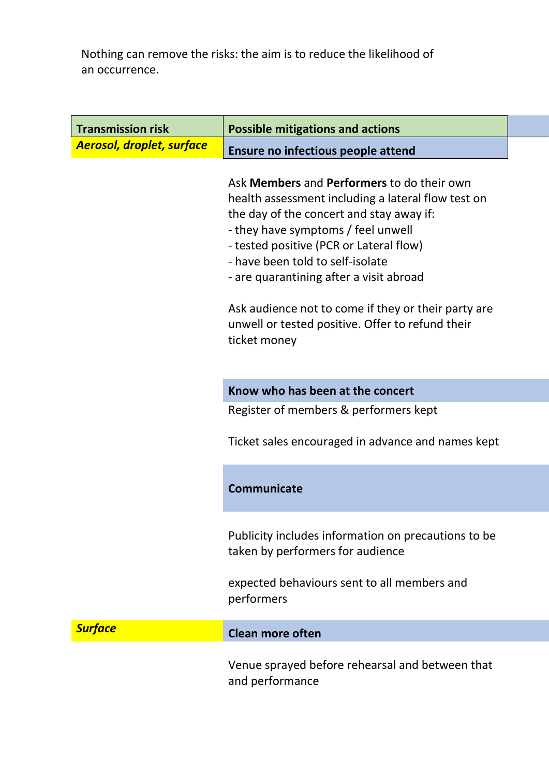Nothing can remove the risks: the aim is to reduce the likelihood of an occurrence.

| <b>Transmission risk</b>         | <b>Possible mitigations and actions</b>                                                                                                                                                                                                                                                                                                                                                                                                               |  |
|----------------------------------|-------------------------------------------------------------------------------------------------------------------------------------------------------------------------------------------------------------------------------------------------------------------------------------------------------------------------------------------------------------------------------------------------------------------------------------------------------|--|
| <b>Aerosol, droplet, surface</b> | Ensure no infectious people attend                                                                                                                                                                                                                                                                                                                                                                                                                    |  |
|                                  | Ask <b>Members</b> and <b>Performers</b> to do their own<br>health assessment including a lateral flow test on<br>the day of the concert and stay away if:<br>- they have symptoms / feel unwell<br>- tested positive (PCR or Lateral flow)<br>- have been told to self-isolate<br>- are quarantining after a visit abroad<br>Ask audience not to come if they or their party are<br>unwell or tested positive. Offer to refund their<br>ticket money |  |
|                                  | Know who has been at the concert                                                                                                                                                                                                                                                                                                                                                                                                                      |  |
|                                  | Register of members & performers kept                                                                                                                                                                                                                                                                                                                                                                                                                 |  |
|                                  | Ticket sales encouraged in advance and names kept                                                                                                                                                                                                                                                                                                                                                                                                     |  |
|                                  | <b>Communicate</b>                                                                                                                                                                                                                                                                                                                                                                                                                                    |  |
|                                  | Publicity includes information on precautions to be<br>taken by performers for audience                                                                                                                                                                                                                                                                                                                                                               |  |
|                                  | expected behaviours sent to all members and<br>performers                                                                                                                                                                                                                                                                                                                                                                                             |  |
| <b>Surface</b>                   | <b>Clean more often</b>                                                                                                                                                                                                                                                                                                                                                                                                                               |  |
|                                  | Venue sprayed before rehearsal and between that<br>and performance                                                                                                                                                                                                                                                                                                                                                                                    |  |